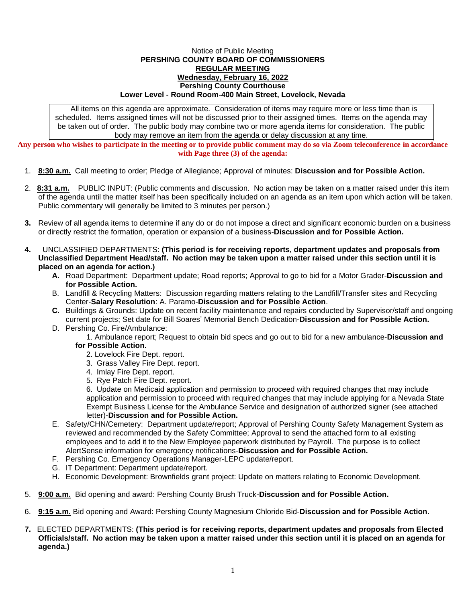## Notice of Public Meeting **PERSHING COUNTY BOARD OF COMMISSIONERS REGULAR MEETING Wednesday, February 16, 2022 Pershing County Courthouse Lower Level - Round Room-400 Main Street, Lovelock, Nevada**

All items on this agenda are approximate. Consideration of items may require more or less time than is scheduled. Items assigned times will not be discussed prior to their assigned times. Items on the agenda may be taken out of order. The public body may combine two or more agenda items for consideration. The public body may remove an item from the agenda or delay discussion at any time.

**Any person who wishes to participate in the meeting or to provide public comment may do so via Zoom teleconference in accordance with Page three (3) of the agenda:**

- 1. **8:30 a.m.** Call meeting to order; Pledge of Allegiance; Approval of minutes: **Discussion and for Possible Action.**
- 2. **8:31 a.m.** PUBLIC INPUT: (Public comments and discussion. No action may be taken on a matter raised under this item of the agenda until the matter itself has been specifically included on an agenda as an item upon which action will be taken. Public commentary will generally be limited to 3 minutes per person.)
- **3.** Review of all agenda items to determine if any do or do not impose a direct and significant economic burden on a business or directly restrict the formation, operation or expansion of a business-**Discussion and for Possible Action.**
- **4.** UNCLASSIFIED DEPARTMENTS: **(This period is for receiving reports, department updates and proposals from Unclassified Department Head/staff. No action may be taken upon a matter raised under this section until it is placed on an agenda for action.)**
	- **A.** Road Department: Department update; Road reports; Approval to go to bid for a Motor Grader-**Discussion and for Possible Action.**
	- B. Landfill & Recycling Matters: Discussion regarding matters relating to the Landfill/Transfer sites and Recycling Center-**Salary Resolution**: A. Paramo-**Discussion and for Possible Action**.
	- **C.** Buildings & Grounds: Update on recent facility maintenance and repairs conducted by Supervisor/staff and ongoing current projects; Set date for Bill Soares' Memorial Bench Dedication-**Discussion and for Possible Action.**
	- D. Pershing Co. Fire/Ambulance:

1. Ambulance report; Request to obtain bid specs and go out to bid for a new ambulance-**Discussion and for Possible Action.**

- 2. Lovelock Fire Dept. report.
- 3. Grass Valley Fire Dept. report.
- 4. Imlay Fire Dept. report.
- 5. Rye Patch Fire Dept. report.

6. Update on Medicaid application and permission to proceed with required changes that may include application and permission to proceed with required changes that may include applying for a Nevada State Exempt Business License for the Ambulance Service and designation of authorized signer (see attached letter)-**Discussion and for Possible Action.**

- E. Safety/CHN/Cemetery: Department update/report; Approval of Pershing County Safety Management System as reviewed and recommended by the Safety Committee; Approval to send the attached form to all existing employees and to add it to the New Employee paperwork distributed by Payroll. The purpose is to collect AlertSense information for emergency notifications-**Discussion and for Possible Action.**
- F. Pershing Co. Emergency Operations Manager-LEPC update/report.
- G. IT Department: Department update/report.
- H. Economic Development: Brownfields grant project: Update on matters relating to Economic Development.
- 5. **9:00 a.m.** Bid opening and award: Pershing County Brush Truck-**Discussion and for Possible Action.**
- 6. **9:15 a.m.** Bid opening and Award: Pershing County Magnesium Chloride Bid-**Discussion and for Possible Action**.
- **7.** ELECTED DEPARTMENTS: **(This period is for receiving reports, department updates and proposals from Elected Officials/staff. No action may be taken upon a matter raised under this section until it is placed on an agenda for agenda.)**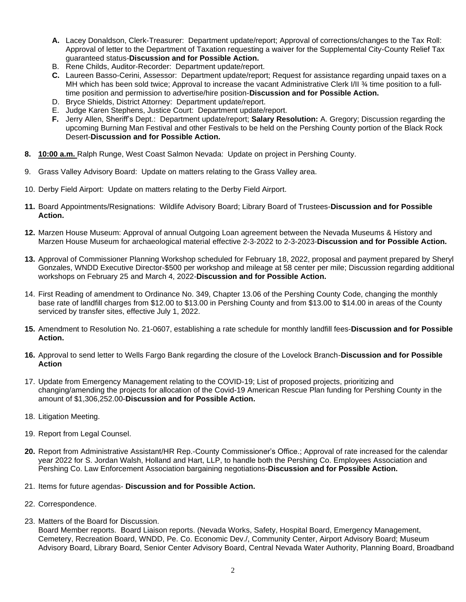- **A.** Lacey Donaldson, Clerk-Treasurer: Department update/report; Approval of corrections/changes to the Tax Roll: Approval of letter to the Department of Taxation requesting a waiver for the Supplemental City-County Relief Tax guaranteed status-**Discussion and for Possible Action.**
- B. Rene Childs, Auditor-Recorder: Department update/report.
- **C.** Laureen Basso-Cerini, Assessor: Department update/report; Request for assistance regarding unpaid taxes on a MH which has been sold twice; Approval to increase the vacant Administrative Clerk I/II % time position to a fulltime position and permission to advertise/hire position-**Discussion and for Possible Action.**
- D. Bryce Shields, District Attorney: Department update/report.
- E. Judge Karen Stephens, Justice Court: Department update/report.
- **F.** Jerry Allen, Sheriff's Dept.: Department update/report; **Salary Resolution:** A. Gregory; Discussion regarding the upcoming Burning Man Festival and other Festivals to be held on the Pershing County portion of the Black Rock Desert-**Discussion and for Possible Action.**
- **8. 10:00 a.m.** Ralph Runge, West Coast Salmon Nevada: Update on project in Pershing County.
- 9. Grass Valley Advisory Board: Update on matters relating to the Grass Valley area.
- 10. Derby Field Airport: Update on matters relating to the Derby Field Airport.
- **11.** Board Appointments/Resignations: Wildlife Advisory Board; Library Board of Trustees-**Discussion and for Possible Action.**
- **12.** Marzen House Museum: Approval of annual Outgoing Loan agreement between the Nevada Museums & History and Marzen House Museum for archaeological material effective 2-3-2022 to 2-3-2023-**Discussion and for Possible Action.**
- **13.** Approval of Commissioner Planning Workshop scheduled for February 18, 2022, proposal and payment prepared by Sheryl Gonzales, WNDD Executive Director-\$500 per workshop and mileage at 58 center per mile; Discussion regarding additional workshops on February 25 and March 4, 2022-**Discussion and for Possible Action.**
- 14. First Reading of amendment to Ordinance No. 349, Chapter 13.06 of the Pershing County Code, changing the monthly base rate of landfill charges from \$12.00 to \$13.00 in Pershing County and from \$13.00 to \$14.00 in areas of the County serviced by transfer sites, effective July 1, 2022.
- **15.** Amendment to Resolution No. 21-0607, establishing a rate schedule for monthly landfill fees-**Discussion and for Possible Action.**
- **16.** Approval to send letter to Wells Fargo Bank regarding the closure of the Lovelock Branch-**Discussion and for Possible Action**
- 17. Update from Emergency Management relating to the COVID-19; List of proposed projects, prioritizing and changing/amending the projects for allocation of the Covid-19 American Rescue Plan funding for Pershing County in the amount of \$1,306,252.00-**Discussion and for Possible Action.**
- 18. Litigation Meeting.
- 19. Report from Legal Counsel.
- **20.** Report from Administrative Assistant/HR Rep.-County Commissioner's Office.; Approval of rate increased for the calendar year 2022 for S. Jordan Walsh, Holland and Hart, LLP, to handle both the Pershing Co. Employees Association and Pershing Co. Law Enforcement Association bargaining negotiations-**Discussion and for Possible Action.**
- 21. Items for future agendas- **Discussion and for Possible Action.**
- 22. Correspondence.
- 23. Matters of the Board for Discussion.

Board Member reports. Board Liaison reports. (Nevada Works, Safety, Hospital Board, Emergency Management, Cemetery, Recreation Board, WNDD, Pe. Co. Economic Dev./, Community Center, Airport Advisory Board; Museum Advisory Board, Library Board, Senior Center Advisory Board, Central Nevada Water Authority, Planning Board, Broadband